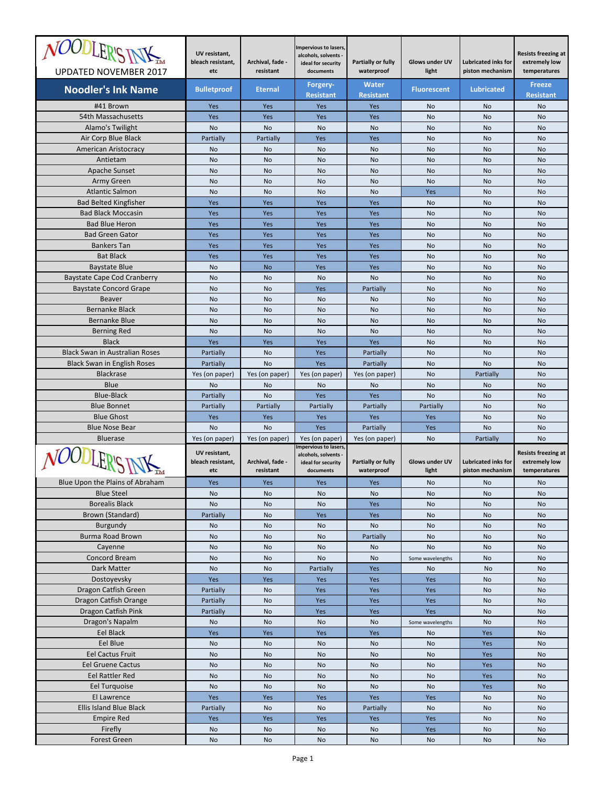| <i>NOODLER'S INV</i>                                   | UV resistant,<br>bleach resistant,        | Archival, fade -              | Impervious to lasers,<br>alcohols, solvents -<br>ideal for security              | Partially or fully               | <b>Glows under UV</b>          | <b>Lubricated inks for</b>                     | <b>Resists freezing at</b><br>extremely low                 |
|--------------------------------------------------------|-------------------------------------------|-------------------------------|----------------------------------------------------------------------------------|----------------------------------|--------------------------------|------------------------------------------------|-------------------------------------------------------------|
| UPDATED NOVEMBER 2017                                  | etc                                       | resistant                     | documents                                                                        | waterproof<br><b>Water</b>       | light                          | piston mechanism                               | temperatures<br><b>Freeze</b>                               |
| <b>Noodler's Ink Name</b>                              | <b>Bulletproof</b>                        | <b>Eternal</b>                | Forgery-<br><b>Resistant</b>                                                     | <b>Resistant</b>                 | <b>Fluorescent</b>             | <b>Lubricated</b>                              | <b>Resistant</b>                                            |
| #41 Brown                                              | Yes                                       | Yes                           | <b>Yes</b>                                                                       | Yes                              | <b>No</b>                      | No                                             | <b>No</b>                                                   |
| 54th Massachusetts                                     | Yes                                       | Yes                           | Yes                                                                              | Yes                              | No                             | No                                             | No                                                          |
| Alamo's Twilight                                       | <b>No</b>                                 | No                            | <b>No</b>                                                                        | <b>No</b>                        | <b>No</b>                      | <b>No</b>                                      | <b>No</b>                                                   |
| Air Corp Blue Black                                    | Partially                                 | Partially                     | Yes                                                                              | Yes                              | No                             | No                                             | No                                                          |
| <b>American Aristocracy</b>                            | No                                        | No                            | No                                                                               | No                               | No                             | No                                             | <b>No</b>                                                   |
| Antietam                                               | <b>No</b>                                 | <b>No</b>                     | <b>No</b>                                                                        | <b>No</b>                        | <b>No</b>                      | No                                             | <b>No</b>                                                   |
| Apache Sunset                                          | No                                        | No                            | No                                                                               | No                               | No                             | No                                             | No                                                          |
| Army Green                                             | <b>No</b>                                 | No                            | No                                                                               | <b>No</b>                        | <b>No</b>                      | <b>No</b>                                      | No                                                          |
| <b>Atlantic Salmon</b><br><b>Bad Belted Kingfisher</b> | No<br>Yes                                 | No<br>Yes                     | No<br>Yes                                                                        | No<br>Yes                        | Yes<br>No                      | No<br>No                                       | No<br><b>No</b>                                             |
| <b>Bad Black Moccasin</b>                              | Yes                                       | Yes                           | Yes                                                                              | Yes                              | <b>No</b>                      | No                                             | <b>No</b>                                                   |
| <b>Bad Blue Heron</b>                                  | Yes                                       | Yes                           | Yes                                                                              | Yes                              | No                             | No                                             | No                                                          |
| <b>Bad Green Gator</b>                                 | Yes                                       | Yes                           | Yes                                                                              | Yes                              | <b>No</b>                      | <b>No</b>                                      | <b>No</b>                                                   |
| <b>Bankers Tan</b>                                     | Yes                                       | Yes                           | Yes                                                                              | Yes                              | No                             | No                                             | No                                                          |
| <b>Bat Black</b>                                       | Yes                                       | Yes                           | Yes                                                                              | Yes                              | No                             | No                                             | <b>No</b>                                                   |
| <b>Baystate Blue</b>                                   | <b>No</b>                                 | <b>No</b>                     | Yes                                                                              | Yes                              | <b>No</b>                      | No                                             | <b>No</b>                                                   |
| <b>Baystate Cape Cod Cranberry</b>                     | No                                        | No                            | No                                                                               | No                               | No                             | No                                             | No                                                          |
| <b>Baystate Concord Grape</b>                          | <b>No</b>                                 | No                            | Yes                                                                              | Partially                        | <b>No</b>                      | <b>No</b>                                      | <b>No</b>                                                   |
| <b>Beaver</b>                                          | No                                        | No                            | No                                                                               | No                               | No                             | No                                             | No                                                          |
| <b>Bernanke Black</b>                                  | No                                        | No                            | No                                                                               | <b>No</b>                        | No                             | No                                             | <b>No</b>                                                   |
| <b>Bernanke Blue</b>                                   | <b>No</b>                                 | <b>No</b>                     | <b>No</b>                                                                        | <b>No</b>                        | <b>No</b>                      | No                                             | <b>No</b>                                                   |
| <b>Berning Red</b>                                     | No                                        | No                            | No                                                                               | No                               | No                             | No                                             | No                                                          |
| <b>Black</b>                                           | Yes                                       | Yes                           | Yes                                                                              | Yes                              | <b>No</b>                      | <b>No</b>                                      | <b>No</b>                                                   |
| <b>Black Swan in Australian Roses</b>                  | Partially                                 | No                            | Yes                                                                              | Partially                        | No                             | No                                             | No                                                          |
| <b>Black Swan in English Roses</b><br><b>Blackrase</b> | Partially<br>Yes (on paper)               | No<br>Yes (on paper)          | Yes<br>Yes (on paper)                                                            | Partially<br>Yes (on paper)      | No<br><b>No</b>                | No<br>Partially                                | <b>No</b><br><b>No</b>                                      |
| Blue                                                   | No                                        | No                            | No                                                                               | No                               | No                             | No                                             | No                                                          |
| <b>Blue-Black</b>                                      | Partially                                 | <b>No</b>                     | Yes                                                                              | Yes                              | No                             | <b>No</b>                                      | <b>No</b>                                                   |
| <b>Blue Bonnet</b>                                     | Partially                                 | Partially                     | Partially                                                                        | Partially                        | Partially                      | No                                             | No                                                          |
| <b>Blue Ghost</b>                                      | Yes                                       | Yes                           | Yes                                                                              | Yes                              | Yes                            | No                                             | <b>No</b>                                                   |
| <b>Blue Nose Bear</b>                                  | <b>No</b>                                 | <b>No</b>                     | Yes                                                                              | Partially                        | <b>Yes</b>                     | <b>No</b>                                      | <b>No</b>                                                   |
| <b>Bluerase</b>                                        | Yes (on paper)                            | Yes (on paper)                | Yes (on paper)                                                                   | Yes (on paper)                   | No                             | Partially                                      | No                                                          |
| OODLER'S'                                              | UV resistant,<br>bleach resistant,<br>etc | Archival, fade -<br>resistant | Impervious to lasers,<br>alcohols, solvents -<br>ideal for security<br>documents | Partially or fully<br>waterproof | <b>Glows under UV</b><br>light | <b>Lubricated inks for</b><br>piston mechanism | <b>Resists freezing at</b><br>extremely low<br>temperatures |
| Blue Upon the Plains of Abraham                        | Yes                                       | Yes                           | Yes                                                                              | Yes                              | No                             | No                                             | No                                                          |
| <b>Blue Steel</b>                                      | No                                        | No                            | No                                                                               | No                               | No                             | No                                             | No                                                          |
| <b>Borealis Black</b>                                  | No                                        | No                            | No                                                                               | Yes                              | No                             | No                                             | No                                                          |
| Brown (Standard)                                       | Partially                                 | No                            | Yes                                                                              | Yes                              | No                             | No                                             | No                                                          |
| Burgundy                                               | No                                        | No                            | No                                                                               | No                               | No                             | No                                             | No                                                          |
| Burma Road Brown                                       | No                                        | No                            | No                                                                               | Partially                        | No                             | No                                             | No                                                          |
| Cayenne<br>Concord Bream                               | No<br>No                                  | No<br>No                      | No<br>No                                                                         | No<br>No                         | No<br>Some wavelengths         | No<br>No                                       | No<br>No                                                    |
| Dark Matter                                            | No                                        | No                            | Partially                                                                        | Yes                              | No                             | No                                             | No                                                          |
| Dostoyevsky                                            | Yes                                       | Yes                           | Yes                                                                              | Yes                              | Yes                            | No                                             | No                                                          |
| Dragon Catfish Green                                   | Partially                                 | No                            | Yes                                                                              | Yes                              | Yes                            | No                                             | No                                                          |
| Dragon Catfish Orange                                  | Partially                                 | No                            | Yes                                                                              | Yes                              | Yes                            | No                                             | No                                                          |
| Dragon Catfish Pink                                    | <b>Partially</b>                          | No                            | Yes                                                                              | Yes                              | Yes                            | No                                             | No                                                          |
| Dragon's Napalm                                        | No                                        | No                            | No                                                                               | No                               | Some wavelengths               | No                                             | No                                                          |
| Eel Black                                              | Yes                                       | Yes                           | Yes                                                                              | Yes                              | No                             | Yes                                            | No                                                          |
| Eel Blue                                               | No                                        | No                            | No                                                                               | No                               | No                             | Yes                                            | No                                                          |
| Eel Cactus Fruit                                       | No                                        | No                            | No                                                                               | No                               | No                             | Yes                                            | No                                                          |
| <b>Eel Gruene Cactus</b>                               | No                                        | No                            | No                                                                               | No                               | No                             | Yes                                            | No                                                          |
| Eel Rattler Red                                        | No                                        | No                            | No                                                                               | No                               | No                             | Yes                                            | No                                                          |
| Eel Turquoise                                          | No                                        | No                            | No                                                                               | No                               | No                             | Yes                                            | No                                                          |
| El Lawrence<br><b>Ellis Island Blue Black</b>          | Yes<br>Partially                          | Yes<br>No                     | Yes<br>No                                                                        | Yes<br><b>Partially</b>          | Yes<br>No                      | No<br>No                                       | No<br>No                                                    |
| <b>Empire Red</b>                                      | Yes                                       | Yes                           | Yes                                                                              | Yes                              | Yes                            | No                                             | No                                                          |
| Firefly                                                | No                                        | No                            | No                                                                               | No                               | Yes                            | No                                             | No                                                          |
| Forest Green                                           | No                                        | No                            | No                                                                               | No                               | No                             | No                                             | No                                                          |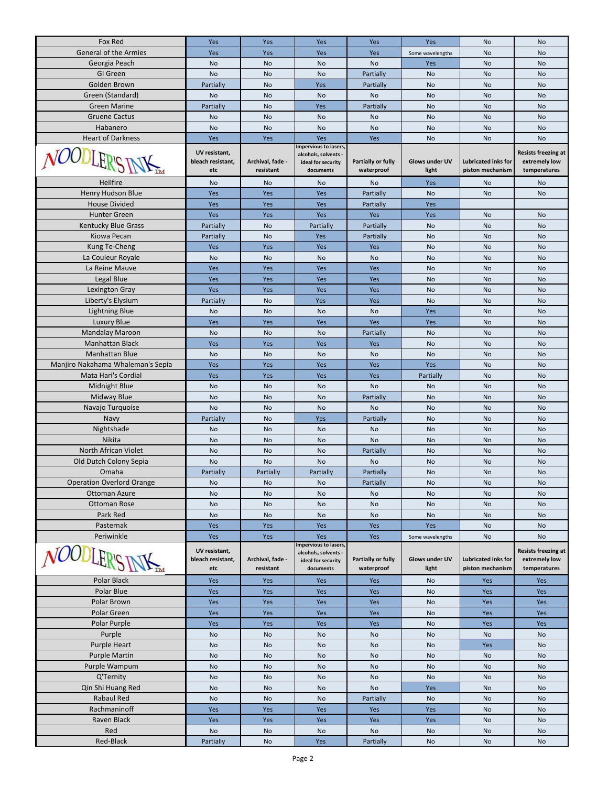| Fox Red                                     | Yes                      | Yes                           | Yes                                           | Yes                              | Yes                            | No                                             | <b>No</b>                     |
|---------------------------------------------|--------------------------|-------------------------------|-----------------------------------------------|----------------------------------|--------------------------------|------------------------------------------------|-------------------------------|
| <b>General of the Armies</b>                | Yes                      | Yes                           | Yes                                           | Yes                              | Some wavelengths               | No                                             | No                            |
| Georgia Peach                               | No                       | No                            | No                                            | No                               | Yes                            | No                                             | No                            |
| GI Green                                    | No                       | No                            | No                                            | Partially                        | No                             | No                                             | No                            |
| Golden Brown                                | Partially                | No                            | Yes                                           | Partially                        | No                             | No                                             | No                            |
| Green (Standard)                            | No                       | No                            | <b>No</b>                                     | No                               | No                             | No                                             | No                            |
| <b>Green Marine</b>                         | Partially                | No                            | Yes                                           | Partially                        | No                             | No                                             | No                            |
| <b>Gruene Cactus</b>                        | No                       | No                            | No                                            | No                               | No                             | No                                             | No                            |
| Habanero                                    | No                       | No                            | No                                            | No                               | No                             | No                                             | No                            |
| <b>Heart of Darkness</b>                    | Yes                      | Yes                           | Yes                                           | Yes                              | No                             | No                                             | No                            |
|                                             | UV resistant,            |                               | Impervious to lasers,<br>alcohols, solvents - |                                  |                                |                                                | <b>Resists freezing at</b>    |
| NOODLER'S                                   | bleach resistant,        | Archival, fade -              | ideal for security                            | Partially or fully               | <b>Glows under UV</b>          | <b>Lubricated inks for</b>                     | extremely low                 |
|                                             | etc                      | resistant                     | documents                                     | waterproof                       | light                          | piston mechanism                               | temperatures                  |
| Hellfire                                    | No                       | No                            | No                                            | No                               | Yes                            | No                                             | No                            |
| Henry Hudson Blue                           | Yes                      | Yes                           | Yes                                           | Partially                        | No                             | No                                             | No                            |
| <b>House Divided</b>                        | Yes                      | Yes                           | Yes                                           | Partially                        | Yes                            |                                                |                               |
| <b>Hunter Green</b>                         | Yes                      | Yes                           | Yes                                           | Yes                              | Yes                            | No                                             | No                            |
| <b>Kentucky Blue Grass</b>                  | Partially                | No                            | Partially                                     | Partially                        | No                             | No                                             | No                            |
| Kiowa Pecan                                 | Partially                | No                            | Yes                                           | Partially                        | No                             | No                                             | No                            |
| Kung Te-Cheng                               | Yes                      | Yes                           | Yes                                           | Yes                              | No                             | No                                             | No                            |
| La Couleur Royale                           | No                       | No                            | <b>No</b>                                     | No                               | No                             | No                                             | No                            |
| La Reine Mauve                              | Yes                      | Yes                           | Yes                                           | Yes                              | No                             | No                                             | No                            |
| Legal Blue                                  | Yes                      | Yes                           | Yes                                           | Yes                              | No                             | No                                             | No                            |
| Lexington Gray                              | Yes                      | Yes                           | Yes                                           | Yes                              | No                             | No                                             | No                            |
| Liberty's Elysium                           | Partially                | No                            | Yes                                           | Yes                              | No                             | No                                             | No                            |
| <b>Lightning Blue</b>                       | No                       | No                            | No                                            | No                               | Yes                            | No                                             | No                            |
| Luxury Blue                                 | Yes                      | Yes                           | Yes                                           | Yes                              | Yes                            | No                                             | No                            |
| <b>Mandalay Maroon</b>                      | No                       | No                            | No                                            | Partially                        | No                             | No                                             | No                            |
| <b>Manhattan Black</b>                      | Yes                      | Yes                           | Yes                                           | Yes                              | No                             | No                                             | No                            |
| <b>Manhattan Blue</b>                       | No                       | No                            | No                                            | No                               | No                             | No                                             | No                            |
| Manjiro Nakahama Whaleman's Sepia           | Yes                      | Yes                           | Yes                                           | Yes                              | Yes                            | No                                             | No                            |
| Mata Hari's Cordial                         | Yes                      | Yes                           | Yes                                           | Yes                              | Partially                      | No                                             | No                            |
| Midnight Blue                               | No                       | No                            | No                                            | No                               | No                             | No                                             | No                            |
| <b>Midway Blue</b>                          | No                       | No                            | No                                            | Partially                        | No                             | No                                             | No                            |
| Navajo Turquoise                            | No                       | No                            | No                                            | No                               | No                             | No                                             | No                            |
| Navy                                        | Partially                | No                            | Yes                                           | Partially                        | <b>No</b>                      | No                                             | No                            |
| Nightshade                                  | No                       | No                            | No                                            | No                               | No                             | No                                             | No                            |
| Nikita                                      | No                       | No                            | No                                            | No                               | No                             | No                                             | No                            |
| North African Violet                        | No                       | No                            | No                                            | Partially                        | No                             | No                                             | No                            |
| Old Dutch Colony Sepia                      | No                       | No                            | No                                            | No                               | No                             | No                                             | No                            |
| Omaha                                       | Partially                | Partially                     | Partially                                     | Partially                        | <b>No</b>                      | No                                             | <b>No</b>                     |
| <b>Operation Overlord Orange</b>            | No                       | No                            | No                                            | Partially                        | No                             | No                                             | No                            |
| <b>Ottoman Azure</b>                        | No                       | No                            | No                                            | No                               | No                             | No                                             | No                            |
| <b>Ottoman Rose</b>                         | No                       | No                            | No                                            | No                               | No                             | No                                             | No                            |
| Park Red                                    | No                       | No                            | No                                            | No                               | No                             | No                                             | No                            |
| Pasternak                                   | Yes                      | Yes                           | Yes                                           | Yes                              | Yes                            | No                                             | No                            |
| Periwinkle                                  | Yes                      | Yes                           | Yes<br>Impervious to lasers,                  | Yes                              | Some wavelengths               | No                                             | No                            |
| <i>NOODLER'ST</i>                           | UV resistant,            |                               | alcohols, solvents -                          |                                  |                                |                                                | <b>Resists freezing at</b>    |
|                                             | bleach resistant,<br>etc | Archival, fade -<br>resistant | ideal for security<br>documents               | Partially or fully<br>waterproof | <b>Glows under UV</b><br>light | <b>Lubricated inks for</b><br>piston mechanism | extremely low<br>temperatures |
|                                             |                          |                               |                                               |                                  |                                |                                                |                               |
| Polar Black                                 | Yes                      | Yes                           | Yes                                           | Yes                              | No                             | Yes                                            | Yes                           |
| Polar Blue                                  | Yes                      | Yes                           | Yes                                           | Yes                              | No                             | Yes                                            | Yes                           |
| Polar Brown                                 | Yes                      | Yes                           | Yes                                           | Yes                              | No                             | Yes                                            | Yes                           |
| Polar Green                                 | Yes                      | Yes                           | Yes                                           | Yes                              | No                             | Yes                                            | Yes                           |
| Polar Purple<br>Purple                      | Yes<br>No                | Yes<br>No                     | Yes<br>No                                     | Yes<br>No                        | No<br>No                       | Yes<br>No                                      | Yes<br>No                     |
|                                             |                          |                               |                                               |                                  |                                |                                                |                               |
| <b>Purple Heart</b><br><b>Purple Martin</b> | No<br>No                 | No<br>No                      | No<br>No                                      | No<br>No                         | No<br>No                       | Yes<br>No                                      | No<br>No                      |
| Purple Wampum                               | No                       | No                            | No                                            | No                               | No                             | No                                             | No                            |
| Q'Ternity                                   | No                       | No                            | No                                            | No                               | No                             | No                                             | No                            |
| Qin Shi Huang Red                           | No                       | No                            | No                                            | No                               | Yes                            | No                                             | No                            |
| Rabaul Red                                  | No                       | No                            | No                                            | Partially                        | No                             | No                                             | No                            |
| Rachmaninoff                                | Yes                      | Yes                           | Yes                                           | Yes                              | Yes                            | No                                             | No                            |
| Raven Black                                 | Yes                      | Yes                           | Yes                                           | Yes                              | Yes                            | No                                             | No                            |
| Red                                         | No                       | No                            | No                                            | No                               | <b>No</b>                      | No                                             | No                            |
| Red-Black                                   | Partially                | No                            | Yes                                           | Partially                        | No                             | No                                             | No                            |
|                                             |                          |                               |                                               |                                  |                                |                                                |                               |